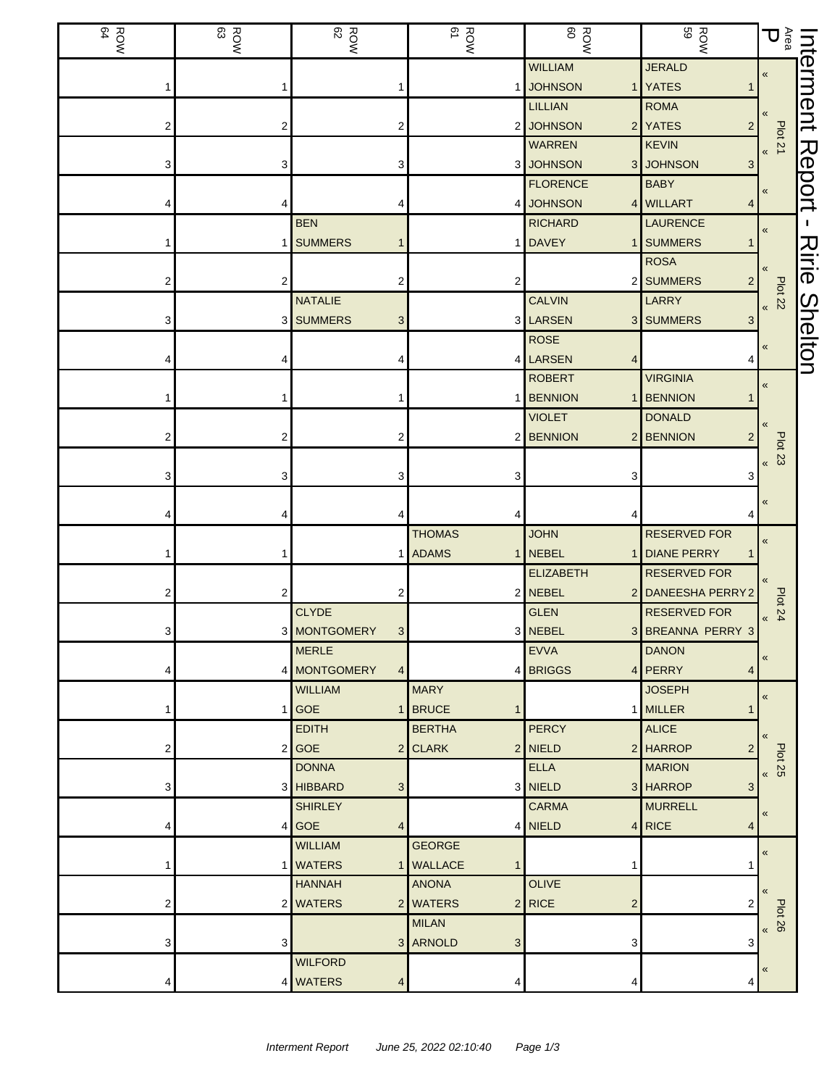| ROW<br>BOW | ROW<br>83 | ROW<br>82                      | ROW<br>BOW               | <b>ROW</b>                 | <b>ROW</b><br>59               | $\mathop{\mathbb{E}}_{\mathop{\mathbb{B}}\nolimits} \mathop{\mathbb{U}}$ | Interment      |
|------------|-----------|--------------------------------|--------------------------|----------------------------|--------------------------------|--------------------------------------------------------------------------|----------------|
|            |           |                                |                          | <b>WILLIAM</b>             | <b>JERALD</b>                  | $\pmb{\ll}$                                                              |                |
|            |           |                                |                          | <b>JOHNSON</b>             | 1 YATES                        |                                                                          |                |
|            |           |                                |                          | <b>LILLIAN</b>             | <b>ROMA</b>                    |                                                                          |                |
|            | 2         | 2                              |                          | 2 JOHNSON                  | 2 YATES<br>$\overline{a}$      | Plot 21                                                                  |                |
|            |           |                                |                          | <b>WARREN</b>              | <b>KEVIN</b>                   | $\pmb{\langle} \pmb{\langle}$                                            |                |
|            | 3         | 3                              |                          | 3 JOHNSON                  | 3 JOHNSON<br>3                 |                                                                          | Report         |
|            |           |                                |                          | <b>FLORENCE</b>            | <b>BABY</b>                    | «                                                                        |                |
|            | 4         |                                |                          | 4 JOHNSON                  | 4 WILLART<br>4                 |                                                                          |                |
|            |           | <b>BEN</b>                     |                          | <b>RICHARD</b>             | <b>LAURENCE</b>                | $\pmb{\ll}$                                                              |                |
|            | 1         | <b>SUMMERS</b><br>1            |                          | <b>DAVEY</b>               | 1 SUMMERS                      |                                                                          |                |
|            |           |                                |                          |                            | <b>ROSA</b>                    |                                                                          | Ririe          |
|            | 2         | 2                              |                          |                            | 2 SUMMERS                      | $B$ lot 22                                                               |                |
|            |           | <b>NATALIE</b>                 |                          | <b>CALVIN</b>              | LARRY                          |                                                                          |                |
|            |           | 3 SUMMERS<br>3                 |                          | 3 LARSEN                   | 3 SUMMERS<br>3                 |                                                                          |                |
|            |           |                                |                          | <b>ROSE</b>                |                                | «                                                                        | <b>Shelton</b> |
|            |           |                                |                          | 4 LARSEN<br>4              |                                |                                                                          |                |
|            |           |                                |                          | <b>ROBERT</b>              | <b>VIRGINIA</b>                | «                                                                        |                |
|            |           |                                |                          | 1 BENNION<br>1             | <b>BENNION</b>                 |                                                                          |                |
|            |           |                                |                          | <b>VIOLET</b>              | <b>DONALD</b>                  |                                                                          |                |
|            | 2         | 2                              |                          | 2 BENNION                  | 2 BENNION                      | <b>Plot 23</b>                                                           |                |
|            |           |                                |                          |                            |                                | $\pmb{\kappa}$                                                           |                |
|            | 3         | 3                              |                          | 3                          | 3                              |                                                                          |                |
|            |           |                                |                          |                            |                                | «                                                                        |                |
|            |           |                                |                          | 4                          |                                |                                                                          |                |
|            |           |                                | <b>THOMAS</b>            | <b>JOHN</b>                | <b>RESERVED FOR</b>            | $\pmb{\langle} \pmb{\langle}$                                            |                |
|            |           | 1                              | <b>ADAMS</b>             | 1 NEBEL<br>$\mathbf{1}$    | <b>DIANE PERRY</b>             |                                                                          |                |
|            |           |                                |                          | <b>ELIZABETH</b>           | <b>RESERVED FOR</b>            | $\langle \langle$                                                        |                |
| 2          | 2         | 2                              |                          | 2 NEBEL                    | 2 DANEESHA PERRY2              | Plot 24<br>Plot 24                                                       |                |
|            |           | <b>CLYDE</b>                   |                          | <b>GLEN</b>                | <b>RESERVED FOR</b>            |                                                                          |                |
| 3          |           | 3 MONTGOMERY<br>3 <sup>1</sup> |                          | 3 NEBEL                    | 3 BREANNA PERRY 3              |                                                                          |                |
|            |           | <b>MERLE</b>                   |                          | <b>EVVA</b>                | <b>DANON</b>                   | $\pmb{\ll}$                                                              |                |
|            |           | 4 MONTGOMERY<br>4 <sup>1</sup> |                          | 4 BRIGGS                   | 4 PERRY<br>4                   |                                                                          |                |
|            |           | <b>WILLIAM</b>                 | <b>MARY</b>              |                            | <b>JOSEPH</b>                  | $\pmb{\ll}$                                                              |                |
|            |           | $1$ GOE<br>$\mathbf{1}$        | BRUCE                    |                            | 1 MILLER                       |                                                                          |                |
|            |           | <b>EDITH</b>                   | <b>BERTHA</b><br>2 CLARK | <b>PERCY</b>               | <b>ALICE</b>                   | $\langle \langle$                                                        |                |
| 2          |           | $2$ GOE<br><b>DONNA</b>        |                          | 2 NIELD<br><b>ELLA</b>     | 2 HARROP<br>2<br><b>MARION</b> | Plot 25<br>92 pld                                                        |                |
|            |           | 3 HIBBARD                      |                          | 3 NIELD                    | 3 HARROP<br>3                  |                                                                          |                |
| 3          |           | 3<br><b>SHIRLEY</b>            |                          | <b>CARMA</b>               | <b>MURRELL</b>                 |                                                                          |                |
|            |           | $4$ GOE<br>$\overline{4}$      |                          | 4 NIELD                    | $4$ RICE<br>4                  | «                                                                        |                |
|            |           | <b>WILLIAM</b>                 | <b>GEORGE</b>            |                            |                                |                                                                          |                |
|            |           | 1 WATERS                       | 1   WALLACE              | 1                          |                                | $\pmb{\ll}$                                                              |                |
|            |           | <b>HANNAH</b>                  | <b>ANONA</b>             | <b>OLIVE</b>               |                                |                                                                          |                |
| 2          |           | 2 WATERS                       | 2 WATERS                 | $2$ RICE<br>$\overline{c}$ |                                | $\langle \langle$                                                        |                |
|            |           |                                | <b>MILAN</b>             |                            |                                | <b>Plot 26</b>                                                           |                |
| 3          | 3         |                                | 3 ARNOLD<br>3            | 3                          | 3                              | $\pmb{\kappa}$                                                           |                |
|            |           | <b>WILFORD</b>                 |                          |                            |                                |                                                                          |                |
|            |           | 4 WATERS<br>4                  | 4                        | 4                          | 4                              | «                                                                        |                |
|            |           |                                |                          |                            |                                |                                                                          |                |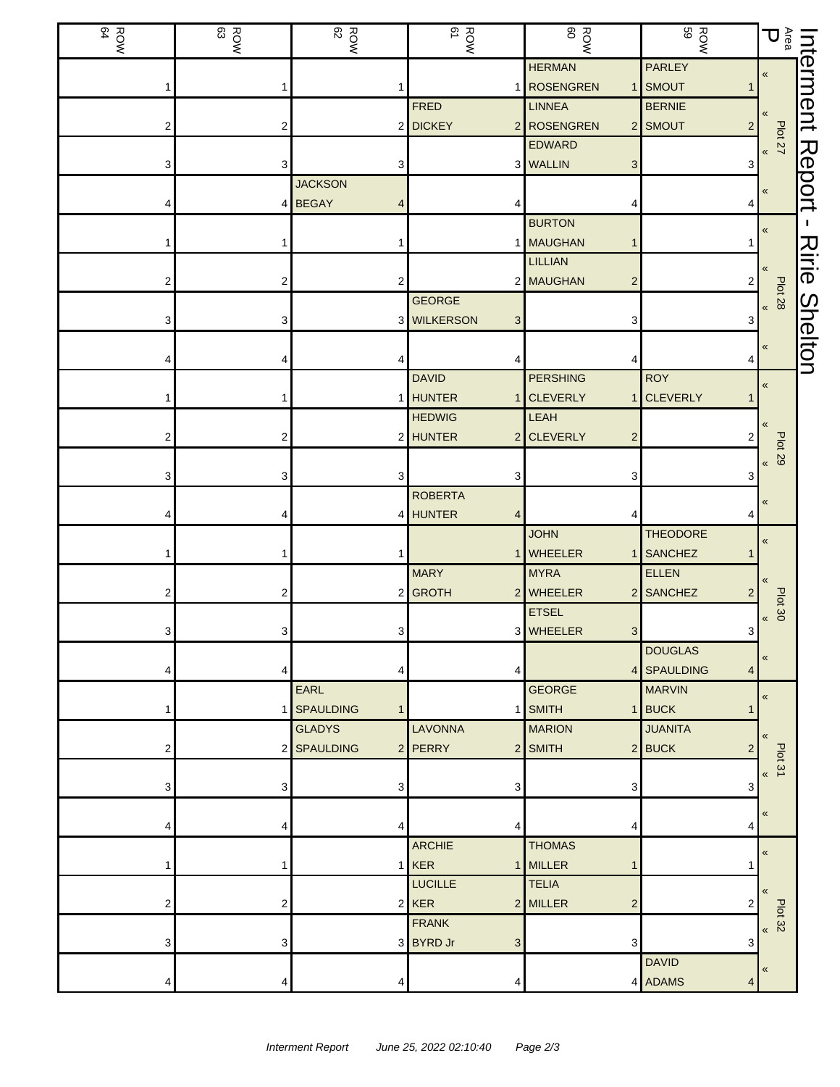| ROW<br>BOW | ROW<br>83 | ROW<br>82        | ROW<br>ROW                      | ROW<br>ROW                   | <b>ROW</b><br>ROW                 | $\mathop{\mathbb{E}}_\mathsf{g} \mathsf{D}$ |                |
|------------|-----------|------------------|---------------------------------|------------------------------|-----------------------------------|---------------------------------------------|----------------|
|            |           |                  |                                 | <b>HERMAN</b>                | <b>PARLEY</b>                     | $\pmb{\ll}$                                 | Interment      |
|            |           |                  |                                 | 1 ROSENGREN                  | 1 SMOUT                           |                                             |                |
|            |           |                  | <b>FRED</b>                     | <b>LINNEA</b>                | <b>BERNIE</b>                     |                                             |                |
| 2          | 2         |                  | 2 DICKEY                        | 2 ROSENGREN<br><b>EDWARD</b> | 2 SMOUT<br>$2 \mid$               | <b>Plot 27</b>                              |                |
|            | 3         | 3                |                                 | 3 WALLIN<br>3                |                                   |                                             |                |
|            |           | <b>JACKSON</b>   |                                 |                              | 3                                 |                                             |                |
|            |           | 4 BEGAY          |                                 |                              |                                   | «                                           | Report         |
|            |           |                  |                                 | <b>BURTON</b>                |                                   |                                             | п              |
|            |           |                  |                                 | 1 MAUGHAN                    |                                   | «                                           |                |
|            |           |                  |                                 | <b>LILLIAN</b>               |                                   |                                             | Ririe          |
|            | 2         | 2                |                                 | 2 MAUGHAN<br>$\overline{c}$  | 2                                 |                                             |                |
|            |           |                  | <b>GEORGE</b>                   |                              |                                   | <b>Plot 28</b>                              |                |
|            | 3         |                  | 3 WILKERSON<br>3                | 3                            | 3                                 | $\pmb{\kappa}$                              |                |
|            |           |                  |                                 |                              |                                   |                                             |                |
|            |           |                  |                                 |                              | 4                                 | «                                           | <b>Shelton</b> |
|            |           |                  | <b>DAVID</b>                    | <b>PERSHING</b>              | <b>ROY</b>                        |                                             |                |
|            |           |                  | <b>HUNTER</b><br>1 <sup>1</sup> | <b>CLEVERLY</b><br>1         | <b>CLEVERLY</b>                   | «                                           |                |
|            |           |                  | <b>HEDWIG</b>                   | LEAH                         |                                   |                                             |                |
|            | 2         |                  | 2 HUNTER                        | 2 CLEVERLY<br>$\overline{2}$ | 2                                 |                                             |                |
|            |           |                  |                                 |                              |                                   | <b>Plot 29</b><br>$\overline{\mathbf{K}}$   |                |
|            | 3         | З                | 3                               | 3                            | 3                                 |                                             |                |
|            |           |                  | <b>ROBERTA</b>                  |                              |                                   |                                             |                |
|            |           |                  | 4 HUNTER<br>4                   |                              |                                   | «                                           |                |
|            |           |                  |                                 | <b>JOHN</b>                  | <b>THEODORE</b>                   | «                                           |                |
|            |           |                  |                                 | <b>WHEELER</b>               | 1 SANCHEZ                         |                                             |                |
|            |           |                  | <b>MARY</b>                     | <b>MYRA</b>                  | ELLEN                             |                                             |                |
| 2          | 2         |                  | 2 GROTH                         | 2 WHEELER                    | 2 SANCHEZ<br>2                    |                                             |                |
|            |           |                  |                                 | <b>ETSEL</b>                 |                                   | Plot 30<br>«                                |                |
| 3.         | 3         | 3 <sup>1</sup>   |                                 | 3 WHEELER<br>3 <sup>1</sup>  | 3 <sup>1</sup>                    |                                             |                |
|            |           |                  |                                 |                              | <b>DOUGLAS</b>                    | «                                           |                |
|            | 4         | 4                | 4                               |                              | 4 SPAULDING<br>4                  |                                             |                |
|            |           | EARL             |                                 | <b>GEORGE</b>                | <b>MARVIN</b>                     | $\pmb{\ll}$                                 |                |
|            |           | 1 SPAULDING<br>1 |                                 | 1 SMITH                      | 1 BUCK<br>1                       |                                             |                |
|            |           | <b>GLADYS</b>    | <b>LAVONNA</b>                  | <b>MARION</b>                | <b>JUANITA</b>                    |                                             |                |
| 2          |           | 2 SPAULDING      | 2 PERRY                         | 2 SMITH                      | $2$ <b>BUCK</b><br>$\overline{2}$ | Plot 31                                     |                |
|            |           |                  |                                 |                              |                                   | $\overline{\mathbf{K}}$                     |                |
|            | 3         | 3                | 3                               | 3                            | 3                                 |                                             |                |
|            |           |                  |                                 |                              |                                   | $\ll$                                       |                |
|            | 4         | 4                | 4                               |                              | 4                                 |                                             |                |
|            |           |                  | <b>ARCHIE</b>                   | <b>THOMAS</b>                |                                   | $\pmb{\ll}$                                 |                |
|            |           |                  | $1$ <b>KER</b>                  | 1 MILLER                     |                                   |                                             |                |
|            |           |                  | <b>LUCILLE</b>                  | <b>TELIA</b>                 |                                   | $\alpha$                                    |                |
|            | 2         |                  | $2$ <b>KER</b>                  | 2 MILLER<br>$\overline{c}$   | 2                                 | Plot 32                                     |                |
|            |           |                  | <b>FRANK</b>                    |                              |                                   | $\pmb{\mathcal{R}}$                         |                |
| 3          | 3         |                  | 3 BYRD Jr<br>3                  | 3                            | 3                                 |                                             |                |
|            |           |                  |                                 |                              | <b>DAVID</b>                      | «                                           |                |
|            | 4         | 4                |                                 |                              | 4 ADAMS<br>4                      |                                             |                |